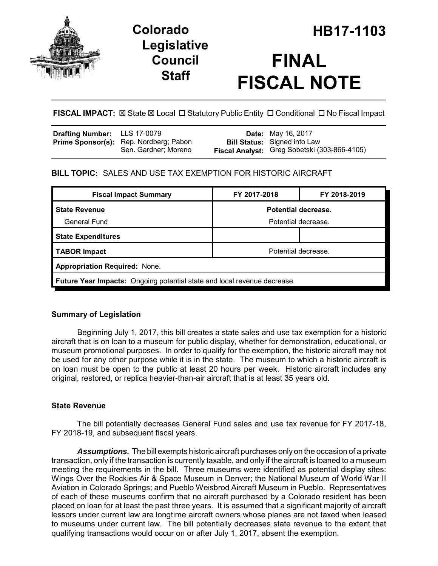

## **Legislative Council Staff**

# **FINAL FISCAL NOTE**

## **FISCAL IMPACT:** ⊠ State ⊠ Local □ Statutory Public Entity □ Conditional □ No Fiscal Impact

| <b>Drafting Number:</b> LLS 17-0079                                   | <b>Date:</b> May 16, 2017                                                           |
|-----------------------------------------------------------------------|-------------------------------------------------------------------------------------|
| <b>Prime Sponsor(s):</b> Rep. Nordberg; Pabon<br>Sen. Gardner; Moreno | <b>Bill Status:</b> Signed into Law<br>Fiscal Analyst: Greg Sobetski (303-866-4105) |
|                                                                       |                                                                                     |

## **BILL TOPIC:** SALES AND USE TAX EXEMPTION FOR HISTORIC AIRCRAFT

| <b>Fiscal Impact Summary</b>                                                    | FY 2017-2018        | FY 2018-2019 |  |
|---------------------------------------------------------------------------------|---------------------|--------------|--|
| <b>State Revenue</b>                                                            | Potential decrease. |              |  |
| General Fund                                                                    | Potential decrease. |              |  |
| <b>State Expenditures</b>                                                       |                     |              |  |
| <b>TABOR Impact</b>                                                             | Potential decrease. |              |  |
| <b>Appropriation Required: None.</b>                                            |                     |              |  |
| <b>Future Year Impacts:</b> Ongoing potential state and local revenue decrease. |                     |              |  |

## **Summary of Legislation**

Beginning July 1, 2017, this bill creates a state sales and use tax exemption for a historic aircraft that is on loan to a museum for public display, whether for demonstration, educational, or museum promotional purposes. In order to qualify for the exemption, the historic aircraft may not be used for any other purpose while it is in the state. The museum to which a historic aircraft is on loan must be open to the public at least 20 hours per week. Historic aircraft includes any original, restored, or replica heavier-than-air aircraft that is at least 35 years old.

## **State Revenue**

The bill potentially decreases General Fund sales and use tax revenue for FY 2017-18, FY 2018-19, and subsequent fiscal years.

*Assumptions.* The bill exempts historic aircraft purchases only on the occasion of a private transaction, only if the transaction is currently taxable, and only if the aircraft is loaned to a museum meeting the requirements in the bill. Three museums were identified as potential display sites: Wings Over the Rockies Air & Space Museum in Denver; the National Museum of World War II Aviation in Colorado Springs; and Pueblo Weisbrod Aircraft Museum in Pueblo. Representatives of each of these museums confirm that no aircraft purchased by a Colorado resident has been placed on loan for at least the past three years. It is assumed that a significant majority of aircraft lessors under current law are longtime aircraft owners whose planes are not taxed when leased to museums under current law. The bill potentially decreases state revenue to the extent that qualifying transactions would occur on or after July 1, 2017, absent the exemption.